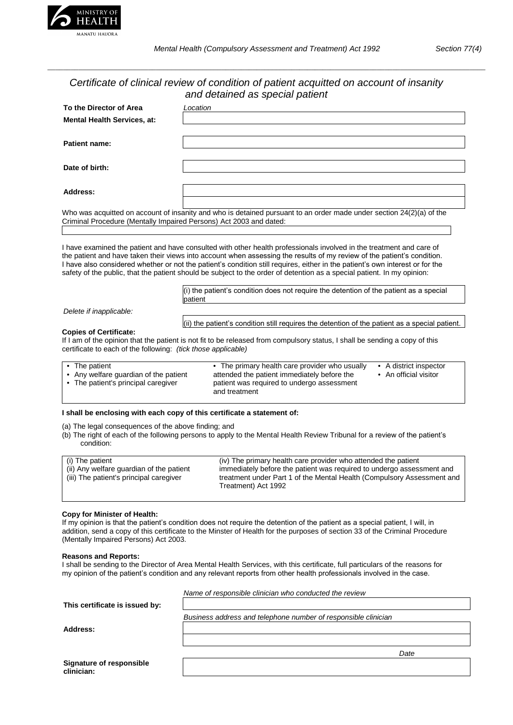

*\_\_\_\_\_\_\_\_\_\_\_\_\_\_\_\_\_\_\_\_\_\_\_\_\_\_\_\_\_\_\_\_\_\_\_\_\_\_\_\_\_\_\_\_\_\_\_\_\_\_\_\_\_\_\_\_\_\_\_\_\_\_\_\_\_\_\_\_\_\_\_\_\_\_\_\_\_\_\_\_\_\_\_\_\_\_\_\_\_\_\_\_\_\_\_\_\_\_\_\_\_\_\_\_\_\_\_\_\_\_\_\_\_*

# *Certificate of clinical review of condition of patient acquitted on account of insanity and detained as special patient*

| To the Director of Area                                                                               | Location                                                                                                                                                                                                                                                                                                                                                                                                                                                                                                    |
|-------------------------------------------------------------------------------------------------------|-------------------------------------------------------------------------------------------------------------------------------------------------------------------------------------------------------------------------------------------------------------------------------------------------------------------------------------------------------------------------------------------------------------------------------------------------------------------------------------------------------------|
| <b>Mental Health Services, at:</b>                                                                    |                                                                                                                                                                                                                                                                                                                                                                                                                                                                                                             |
|                                                                                                       |                                                                                                                                                                                                                                                                                                                                                                                                                                                                                                             |
| Patient name:                                                                                         |                                                                                                                                                                                                                                                                                                                                                                                                                                                                                                             |
| Date of birth:                                                                                        |                                                                                                                                                                                                                                                                                                                                                                                                                                                                                                             |
| Address:                                                                                              |                                                                                                                                                                                                                                                                                                                                                                                                                                                                                                             |
| Criminal Procedure (Mentally Impaired Persons) Act 2003 and dated:                                    | Who was acquitted on account of insanity and who is detained pursuant to an order made under section 24(2)(a) of the                                                                                                                                                                                                                                                                                                                                                                                        |
|                                                                                                       | I have examined the patient and have consulted with other health professionals involved in the treatment and care of<br>the patient and have taken their views into account when assessing the results of my review of the patient's condition.<br>I have also considered whether or not the patient's condition still requires, either in the patient's own interest or for the<br>safety of the public, that the patient should be subject to the order of detention as a special patient. In my opinion: |
|                                                                                                       | $(i)$ the patient's condition does not require the detention of the patient as a special<br>patient                                                                                                                                                                                                                                                                                                                                                                                                         |
| Delete if inapplicable:                                                                               |                                                                                                                                                                                                                                                                                                                                                                                                                                                                                                             |
|                                                                                                       | (ii) the patient's condition still requires the detention of the patient as a special patient.                                                                                                                                                                                                                                                                                                                                                                                                              |
| <b>Copies of Certificate:</b><br>certificate to each of the following: <i>(tick those applicable)</i> | If I am of the opinion that the patient is not fit to be released from compulsory status, I shall be sending a copy of this                                                                                                                                                                                                                                                                                                                                                                                 |
| a The nettent                                                                                         | The primary health care provider who would be a A district increater                                                                                                                                                                                                                                                                                                                                                                                                                                        |

| • The patient                         | • The primary health care provider who usually              | • A district inspector         |
|---------------------------------------|-------------------------------------------------------------|--------------------------------|
| • Any welfare quardian of the patient | attended the patient immediately before the                 | $\bullet$ An official visitor. |
| • The patient's principal caregiver   | patient was required to undergo assessment<br>and treatment |                                |
|                                       |                                                             |                                |

## **I shall be enclosing with each copy of this certificate a statement of:**

(a) The legal consequences of the above finding; and

(b) The right of each of the following persons to apply to the Mental Health Review Tribunal for a review of the patient's condition:

| (i) The patient<br>(ii) Any welfare guardian of the patient<br>(iii) The patient's principal caregiver | (iv) The primary health care provider who attended the patient<br>immediately before the patient was required to undergo assessment and<br>treatment under Part 1 of the Mental Health (Compulsory Assessment and<br>Treatment) Act 1992 |
|--------------------------------------------------------------------------------------------------------|------------------------------------------------------------------------------------------------------------------------------------------------------------------------------------------------------------------------------------------|
|                                                                                                        |                                                                                                                                                                                                                                          |

# **Copy for Minister of Health:**

If my opinion is that the patient's condition does not require the detention of the patient as a special patient, I will, in addition, send a copy of this certificate to the Minster of Health for the purposes of section 33 of the Criminal Procedure (Mentally Impaired Persons) Act 2003.

### **Reasons and Reports:**

I shall be sending to the Director of Area Mental Health Services, with this certificate, full particulars of the reasons for my opinion of the patient's condition and any relevant reports from other health professionals involved in the case.

|                                               | Name of responsible clinician who conducted the review         |
|-----------------------------------------------|----------------------------------------------------------------|
| This certificate is issued by:                |                                                                |
|                                               | Business address and telephone number of responsible clinician |
| Address:                                      |                                                                |
|                                               |                                                                |
|                                               | Date                                                           |
| <b>Signature of responsible</b><br>clinician: |                                                                |